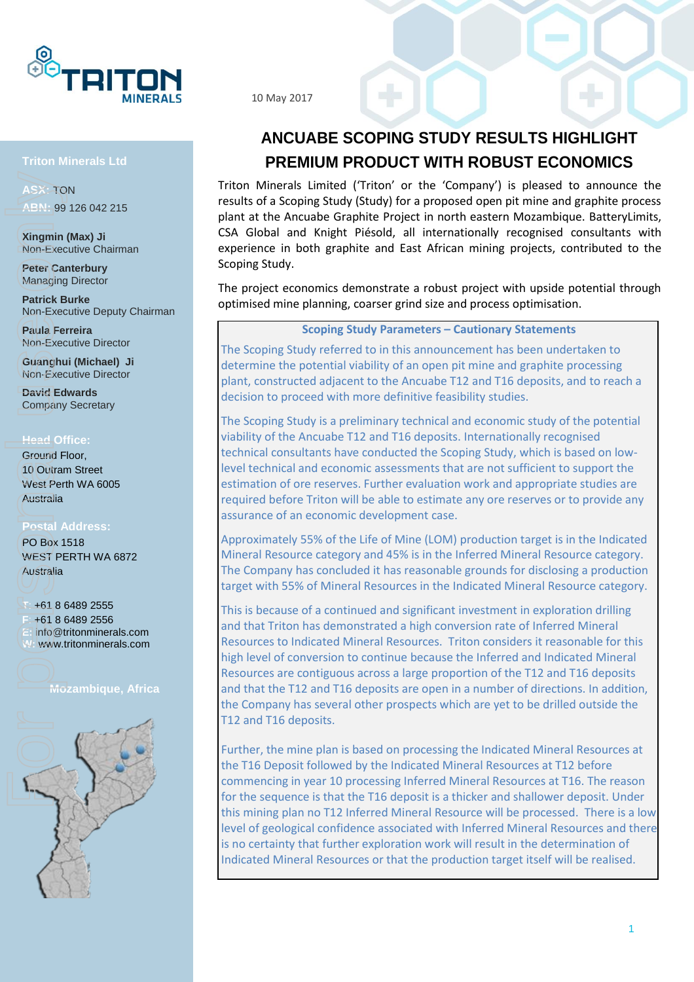

#### **Triton Minerals Ltd**

**ASX:** TON **ABN:** 99 126 042 215

**Xingmin (Max) Ji** Non-Executive Chairman

**Peter Canterbury** Managing Director

**Patrick Burke** Non-Executive Deputy Chairman

**Paula Ferreira** Non-Executive Director

**Guanghui (Michael) Ji** Non-Executive Director

**David Edwards** Company Secretary

#### **Head Office:**

Ground Floor, 10 Outram Street West Perth WA 6005 Australia

#### **Postal Address:**

PO Box 1518 WEST PERTH WA 6872 Australia

#### **T**: +61 8 6489 2555

**F**: +61 8 6489 2556 **E:** info@tritonminerals.com **W:** www.tritonminerals.com

**Mozambique, Africa**



10 May 2017

## **ANCUABE SCOPING STUDY RESULTS HIGHLIGHT PREMIUM PRODUCT WITH ROBUST ECONOMICS**

Triton Minerals Limited ('Triton' or the 'Company') is pleased to announce the results of a Scoping Study (Study) for a proposed open pit mine and graphite process plant at the Ancuabe Graphite Project in north eastern Mozambique. BatteryLimits, CSA Global and Knight Piésold, all internationally recognised consultants with experience in both graphite and East African mining projects, contributed to the Scoping Study.

The project economics demonstrate a robust project with upside potential through optimised mine planning, coarser grind size and process optimisation.

#### **Scoping Study Parameters – Cautionary Statements**

The Scoping Study referred to in this announcement has been undertaken to determine the potential viability of an open pit mine and graphite processing plant, constructed adjacent to the Ancuabe T12 and T16 deposits, and to reach a decision to proceed with more definitive feasibility studies.

The Scoping Study is a preliminary technical and economic study of the potential viability of the Ancuabe T12 and T16 deposits. Internationally recognised technical consultants have conducted the Scoping Study, which is based on lowlevel technical and economic assessments that are not sufficient to support the estimation of ore reserves. Further evaluation work and appropriate studies are required before Triton will be able to estimate any ore reserves or to provide any assurance of an economic development case.

Approximately 55% of the Life of Mine (LOM) production target is in the Indicated Mineral Resource category and 45% is in the Inferred Mineral Resource category. The Company has concluded it has reasonable grounds for disclosing a production target with 55% of Mineral Resources in the Indicated Mineral Resource category.

This is because of a continued and significant investment in exploration drilling and that Triton has demonstrated a high conversion rate of Inferred Mineral Resources to Indicated Mineral Resources. Triton considers it reasonable for this high level of conversion to continue because the Inferred and Indicated Mineral Resources are contiguous across a large proportion of the T12 and T16 deposits and that the T12 and T16 deposits are open in a number of directions. In addition, the Company has several other prospects which are yet to be drilled outside the T12 and T16 deposits.

Further, the mine plan is based on processing the Indicated Mineral Resources at the T16 Deposit followed by the Indicated Mineral Resources at T12 before commencing in year 10 processing Inferred Mineral Resources at T16. The reason for the sequence is that the T16 deposit is a thicker and shallower deposit. Under this mining plan no T12 Inferred Mineral Resource will be processed. There is a low level of geological confidence associated with Inferred Mineral Resources and there is no certainty that further exploration work will result in the determination of Indicated Mineral Resources or that the production target itself will be realised.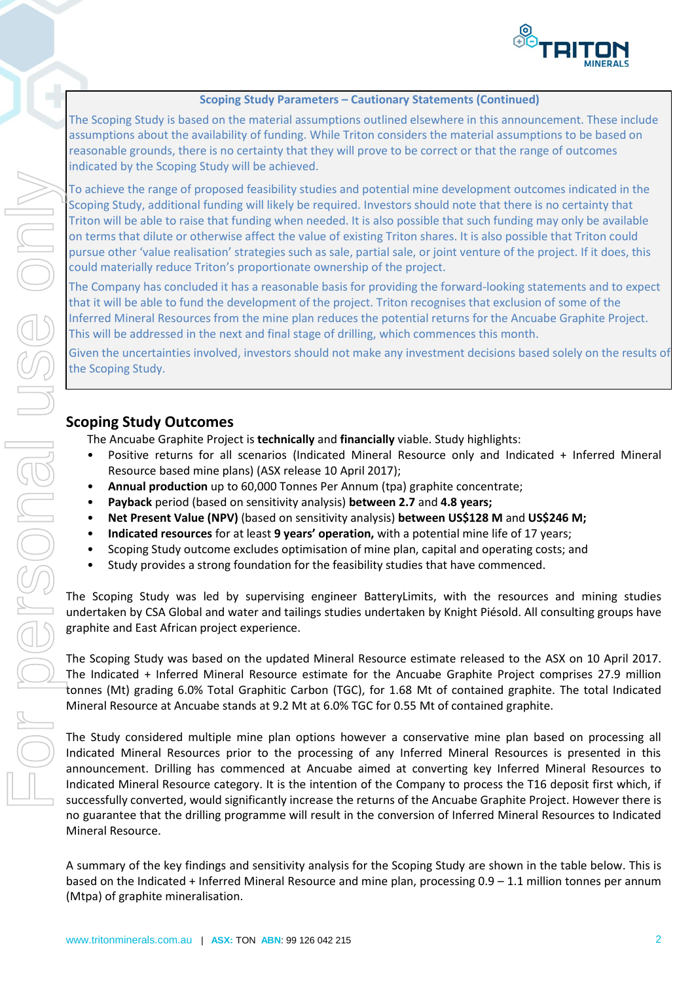

#### **Scoping Study Parameters – Cautionary Statements (Continued)**

The Scoping Study is based on the material assumptions outlined elsewhere in this announcement. These include assumptions about the availability of funding. While Triton considers the material assumptions to be based on reasonable grounds, there is no certainty that they will prove to be correct or that the range of outcomes indicated by the Scoping Study will be achieved.

To achieve the range of proposed feasibility studies and potential mine development outcomes indicated in the Scoping Study, additional funding will likely be required. Investors should note that there is no certainty that Triton will be able to raise that funding when needed. It is also possible that such funding may only be available on terms that dilute or otherwise affect the value of existing Triton shares. It is also possible that Triton could pursue other 'value realisation' strategies such as sale, partial sale, or joint venture of the project. If it does, this could materially reduce Triton's proportionate ownership of the project.

The Company has concluded it has a reasonable basis for providing the forward-looking statements and to expect that it will be able to fund the development of the project. Triton recognises that exclusion of some of the Inferred Mineral Resources from the mine plan reduces the potential returns for the Ancuabe Graphite Project. This will be addressed in the next and final stage of drilling, which commences this month.

Given the uncertainties involved, investors should not make any investment decisions based solely on the results of the Scoping Study.

### **Scoping Study Outcomes**

The Ancuabe Graphite Project is **technically** and **financially** viable. Study highlights:

- Positive returns for all scenarios (Indicated Mineral Resource only and Indicated + Inferred Mineral Resource based mine plans) (ASX release 10 April 2017);
- **Annual production** up to 60,000 Tonnes Per Annum (tpa) graphite concentrate;
- **Payback** period (based on sensitivity analysis) **between 2.7** and **4.8 years;**
- **Net Present Value (NPV)** (based on sensitivity analysis) **between US\$128 M** and **US\$246 M;**
- **Indicated resources** for at least **9 years' operation,** with a potential mine life of 17 years;
- Scoping Study outcome excludes optimisation of mine plan, capital and operating costs; and
- Study provides a strong foundation for the feasibility studies that have commenced.

The Scoping Study was led by supervising engineer BatteryLimits, with the resources and mining studies undertaken by CSA Global and water and tailings studies undertaken by Knight Piésold. All consulting groups have graphite and East African project experience.

The Scoping Study was based on the updated Mineral Resource estimate released to the ASX on 10 April 2017. The Indicated + Inferred Mineral Resource estimate for the Ancuabe Graphite Project comprises 27.9 million tonnes (Mt) grading 6.0% Total Graphitic Carbon (TGC), for 1.68 Mt of contained graphite. The total Indicated Mineral Resource at Ancuabe stands at 9.2 Mt at 6.0% TGC for 0.55 Mt of contained graphite.

The Study considered multiple mine plan options however a conservative mine plan based on processing all Indicated Mineral Resources prior to the processing of any Inferred Mineral Resources is presented in this announcement. Drilling has commenced at Ancuabe aimed at converting key Inferred Mineral Resources to Indicated Mineral Resource category. It is the intention of the Company to process the T16 deposit first which, if successfully converted, would significantly increase the returns of the Ancuabe Graphite Project. However there is no guarantee that the drilling programme will result in the conversion of Inferred Mineral Resources to Indicated Mineral Resource.

A summary of the key findings and sensitivity analysis for the Scoping Study are shown in the table below. This is based on the Indicated + Inferred Mineral Resource and mine plan, processing 0.9 – 1.1 million tonnes per annum (Mtpa) of graphite mineralisation.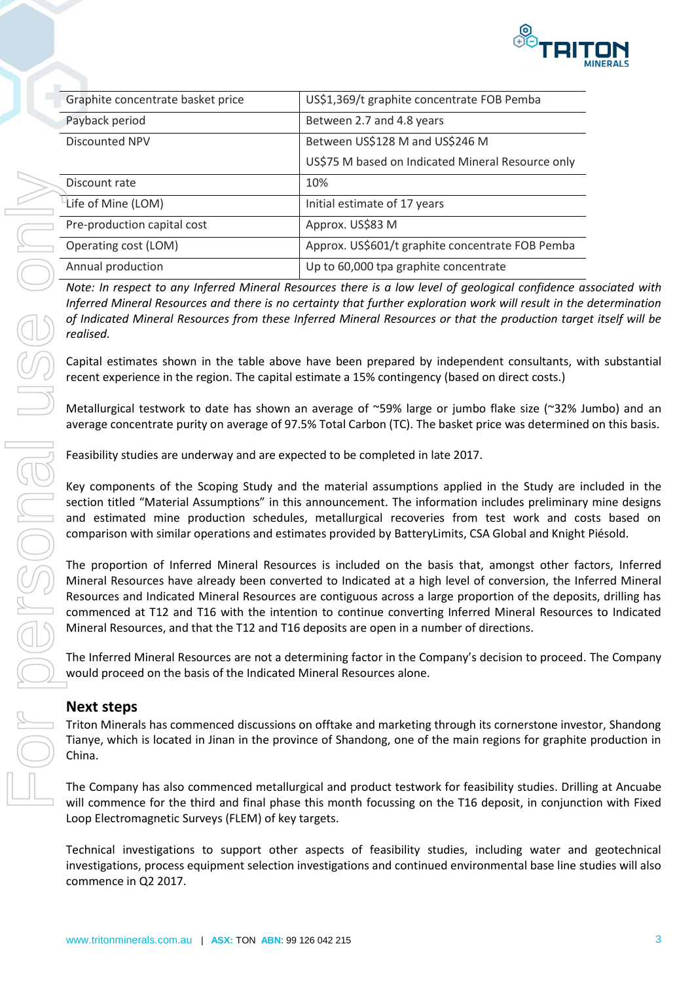

| Graphite concentrate basket price | US\$1,369/t graphite concentrate FOB Pemba        |  |  |
|-----------------------------------|---------------------------------------------------|--|--|
| Payback period                    | Between 2.7 and 4.8 years                         |  |  |
| Discounted NPV                    | Between US\$128 M and US\$246 M                   |  |  |
|                                   | US\$75 M based on Indicated Mineral Resource only |  |  |
| Discount rate                     | 10%                                               |  |  |
| Life of Mine (LOM)                | Initial estimate of 17 years                      |  |  |
| Pre-production capital cost       | Approx. US\$83 M                                  |  |  |
| Operating cost (LOM)              | Approx. US\$601/t graphite concentrate FOB Pemba  |  |  |
| Annual production                 | Up to 60,000 tpa graphite concentrate             |  |  |

*Note: In respect to any Inferred Mineral Resources there is a low level of geological confidence associated with Inferred Mineral Resources and there is no certainty that further exploration work will result in the determination of Indicated Mineral Resources from these Inferred Mineral Resources or that the production target itself will be realised.*

Capital estimates shown in the table above have been prepared by independent consultants, with substantial recent experience in the region. The capital estimate a 15% contingency (based on direct costs.)

Metallurgical testwork to date has shown an average of ~59% large or jumbo flake size (~32% Jumbo) and an average concentrate purity on average of 97.5% Total Carbon (TC). The basket price was determined on this basis.

Feasibility studies are underway and are expected to be completed in late 2017.

Key components of the Scoping Study and the material assumptions applied in the Study are included in the section titled "Material Assumptions" in this announcement. The information includes preliminary mine designs and estimated mine production schedules, metallurgical recoveries from test work and costs based on comparison with similar operations and estimates provided by BatteryLimits, CSA Global and Knight Piésold.

The proportion of Inferred Mineral Resources is included on the basis that, amongst other factors, Inferred Mineral Resources have already been converted to Indicated at a high level of conversion, the Inferred Mineral Resources and Indicated Mineral Resources are contiguous across a large proportion of the deposits, drilling has commenced at T12 and T16 with the intention to continue converting Inferred Mineral Resources to Indicated Mineral Resources, and that the T12 and T16 deposits are open in a number of directions.

The Inferred Mineral Resources are not a determining factor in the Company's decision to proceed. The Company would proceed on the basis of the Indicated Mineral Resources alone.

### **Next steps**

Triton Minerals has commenced discussions on offtake and marketing through its cornerstone investor, Shandong Tianye, which is located in Jinan in the province of Shandong, one of the main regions for graphite production in

The Company has also commenced metallurgical and product testwork for feasibility studies. Drilling at Ancuabe will commence for the third and final phase this month focussing on the T16 deposit, in conjunction with Fixed Loop Electromagnetic Surveys (FLEM) of key targets.

Technical investigations to support other aspects of feasibility studies, including water and geotechnical investigations, process equipment selection investigations and continued environmental base line studies will also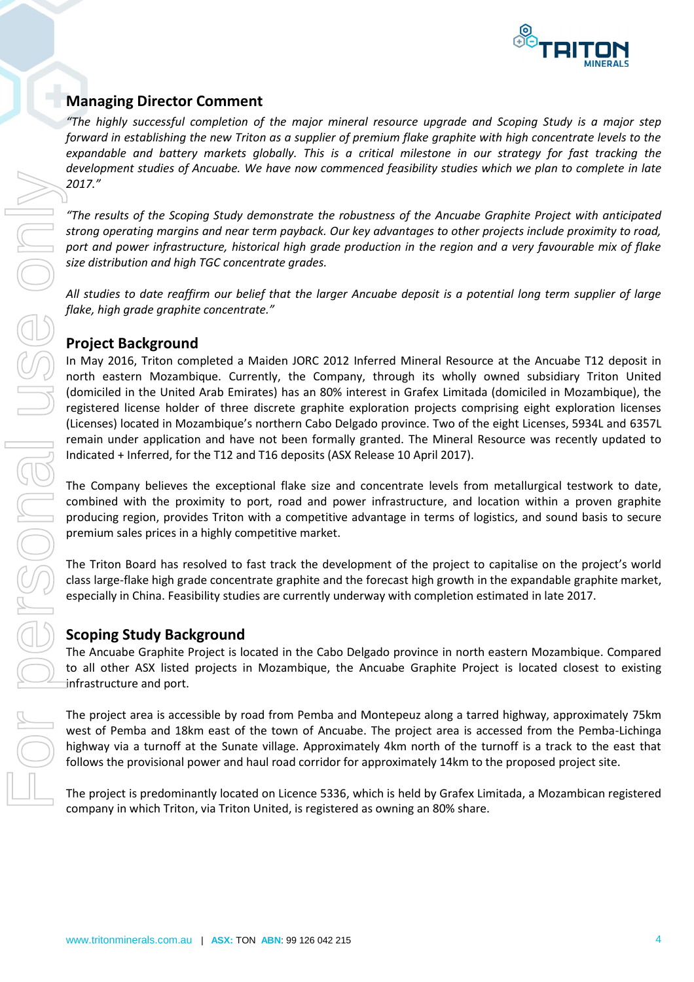

### **Managing Director Comment**

*"The highly successful completion of the major mineral resource upgrade and Scoping Study is a major step forward in establishing the new Triton as a supplier of premium flake graphite with high concentrate levels to the expandable and battery markets globally. This is a critical milestone in our strategy for fast tracking the development studies of Ancuabe. We have now commenced feasibility studies which we plan to complete in late 2017."* 

*"The results of the Scoping Study demonstrate the robustness of the Ancuabe Graphite Project with anticipated strong operating margins and near term payback. Our key advantages to other projects include proximity to road, port and power infrastructure, historical high grade production in the region and a very favourable mix of flake size distribution and high TGC concentrate grades.*

*All studies to date reaffirm our belief that the larger Ancuabe deposit is a potential long term supplier of large flake, high grade graphite concentrate."*

### **Project Background**

In May 2016, Triton completed a Maiden JORC 2012 Inferred Mineral Resource at the Ancuabe T12 deposit in north eastern Mozambique. Currently, the Company, through its wholly owned subsidiary Triton United (domiciled in the United Arab Emirates) has an 80% interest in Grafex Limitada (domiciled in Mozambique), the registered license holder of three discrete graphite exploration projects comprising eight exploration licenses (Licenses) located in Mozambique's northern Cabo Delgado province. Two of the eight Licenses, 5934L and 6357L remain under application and have not been formally granted. The Mineral Resource was recently updated to Indicated + Inferred, for the T12 and T16 deposits (ASX Release 10 April 2017). 2017.<sup>2</sup><br>
The result of the Scoping Study demonstrate the rabustness of the Ancable Craphie Project with a functioned<br>
proteinant project is consider project is a the project is nearly provided provided in the project is a

The Company believes the exceptional flake size and concentrate levels from metallurgical testwork to date, combined with the proximity to port, road and power infrastructure, and location within a proven graphite producing region, provides Triton with a competitive advantage in terms of logistics, and sound basis to secure premium sales prices in a highly competitive market.

The Triton Board has resolved to fast track the development of the project to capitalise on the project's world class large-flake high grade concentrate graphite and the forecast high growth in the expandable graphite market, especially in China. Feasibility studies are currently underway with completion estimated in late 2017.

### **Scoping Study Background**

The Ancuabe Graphite Project is located in the Cabo Delgado province in north eastern Mozambique. Compared to all other ASX listed projects in Mozambique, the Ancuabe Graphite Project is located closest to existing infrastructure and port.

The project area is accessible by road from Pemba and Montepeuz along a tarred highway, approximately 75km west of Pemba and 18km east of the town of Ancuabe. The project area is accessed from the Pemba-Lichinga highway via a turnoff at the Sunate village. Approximately 4km north of the turnoff is a track to the east that follows the provisional power and haul road corridor for approximately 14km to the proposed project site.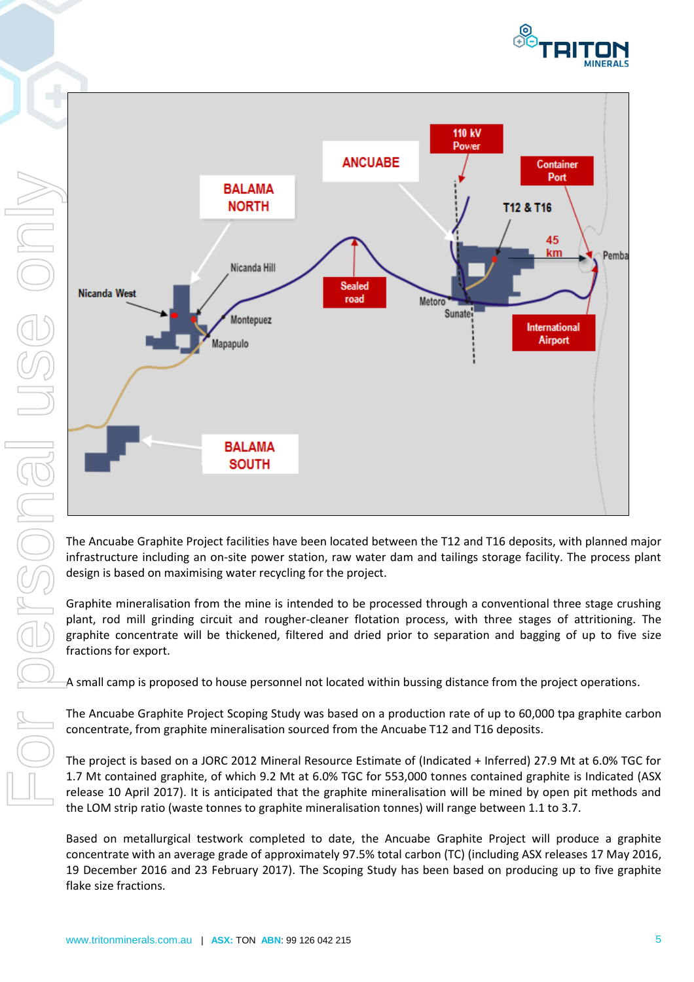



The Ancuabe Graphite Project facilities have been located between the T12 and T16 deposits, with planned major infrastructure including an on-site power station, raw water dam and tailings storage facility. The process plant design is based on maximising water recycling for the project.

Graphite mineralisation from the mine is intended to be processed through a conventional three stage crushing plant, rod mill grinding circuit and rougher-cleaner flotation process, with three stages of attritioning. The graphite concentrate will be thickened, filtered and dried prior to separation and bagging of up to five size fractions for export.

A small camp is proposed to house personnel not located within bussing distance from the project operations.

The Ancuabe Graphite Project Scoping Study was based on a production rate of up to 60,000 tpa graphite carbon concentrate, from graphite mineralisation sourced from the Ancuabe T12 and T16 deposits.

The project is based on a JORC 2012 Mineral Resource Estimate of (Indicated + Inferred) 27.9 Mt at 6.0% TGC for 1.7 Mt contained graphite, of which 9.2 Mt at 6.0% TGC for 553,000 tonnes contained graphite is Indicated (ASX release 10 April 2017). It is anticipated that the graphite mineralisation will be mined by open pit methods and the LOM strip ratio (waste tonnes to graphite mineralisation tonnes) will range between 1.1 to 3.7.

Based on metallurgical testwork completed to date, the Ancuabe Graphite Project will produce a graphite concentrate with an average grade of approximately 97.5% total carbon (TC) (including ASX releases 17 May 2016, 19 December 2016 and 23 February 2017). The Scoping Study has been based on producing up to five graphite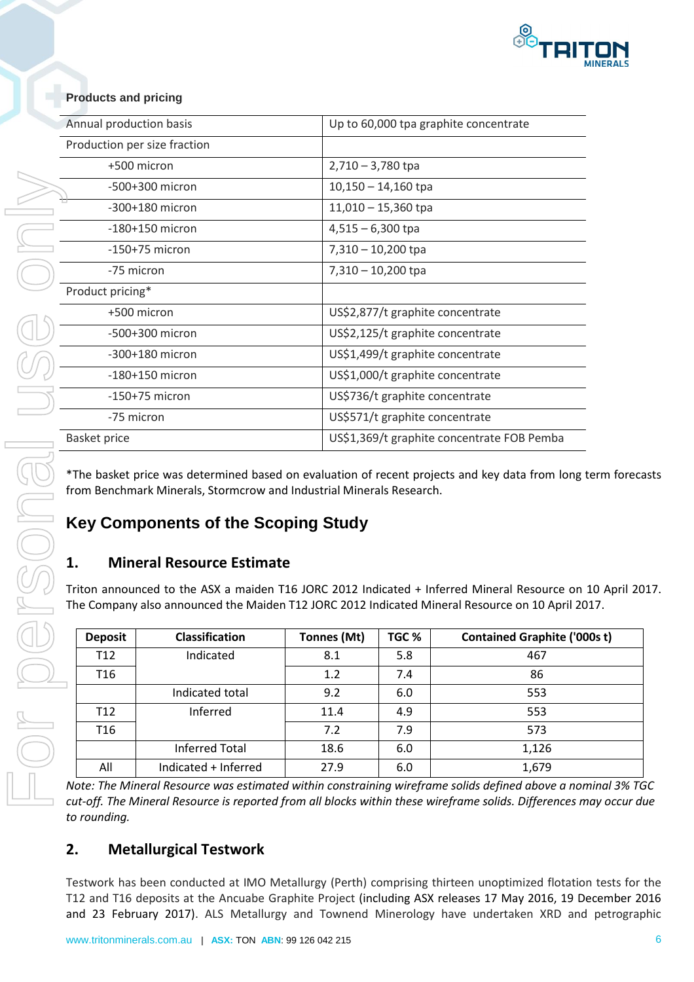

|                  |                                                                                |                     | Up to 60,000 tpa graphite concentrate |                                                                                                                                                                                                                |  |
|------------------|--------------------------------------------------------------------------------|---------------------|---------------------------------------|----------------------------------------------------------------------------------------------------------------------------------------------------------------------------------------------------------------|--|
|                  | Production per size fraction                                                   |                     |                                       |                                                                                                                                                                                                                |  |
|                  | +500 micron                                                                    | $2,710 - 3,780$ tpa |                                       |                                                                                                                                                                                                                |  |
|                  | -500+300 micron                                                                |                     | $10,150 - 14,160$ tpa                 |                                                                                                                                                                                                                |  |
|                  | -300+180 micron                                                                |                     | $11,010 - 15,360$ tpa                 |                                                                                                                                                                                                                |  |
|                  | $-180+150$ micron                                                              | $4,515 - 6,300$ tpa |                                       |                                                                                                                                                                                                                |  |
|                  | $-150+75$ micron                                                               |                     | $7,310 - 10,200$ tpa                  |                                                                                                                                                                                                                |  |
| -75 micron       |                                                                                |                     | $7,310 - 10,200$ tpa                  |                                                                                                                                                                                                                |  |
| Product pricing* |                                                                                |                     |                                       |                                                                                                                                                                                                                |  |
|                  | +500 micron                                                                    |                     | US\$2,877/t graphite concentrate      |                                                                                                                                                                                                                |  |
|                  | -500+300 micron                                                                |                     | US\$2,125/t graphite concentrate      |                                                                                                                                                                                                                |  |
|                  | -300+180 micron                                                                |                     | US\$1,499/t graphite concentrate      |                                                                                                                                                                                                                |  |
|                  | $-180+150$ micron                                                              |                     | US\$1,000/t graphite concentrate      |                                                                                                                                                                                                                |  |
|                  | $-150+75$ micron                                                               |                     | US\$736/t graphite concentrate        |                                                                                                                                                                                                                |  |
| -75 micron       |                                                                                |                     | US\$571/t graphite concentrate        |                                                                                                                                                                                                                |  |
| Basket price     |                                                                                |                     |                                       | US\$1,369/t graphite concentrate FOB Pemba                                                                                                                                                                     |  |
| 1.               | <b>Key Components of the Scoping Study</b><br><b>Mineral Resource Estimate</b> |                     |                                       |                                                                                                                                                                                                                |  |
|                  |                                                                                |                     |                                       | Triton announced to the ASX a maiden T16 JORC 2012 Indicated + Inferred Mineral Resource on 10 April 2017.<br>The Company also announced the Maiden T12 JORC 2012 Indicated Mineral Resource on 10 April 2017. |  |
| <b>Deposit</b>   | Classification                                                                 | Tonnes (Mt)         | TGC %                                 | <b>Contained Graphite ('000s t)</b>                                                                                                                                                                            |  |
| T <sub>12</sub>  | Indicated                                                                      | 8.1                 | 5.8                                   | 467                                                                                                                                                                                                            |  |
| T <sub>16</sub>  |                                                                                | 1.2                 | 7.4                                   | 86                                                                                                                                                                                                             |  |
|                  | Indicated total                                                                | 9.2                 | 6.0                                   | 553                                                                                                                                                                                                            |  |
| T <sub>12</sub>  | Inferred                                                                       | 11.4                | 4.9                                   | 553                                                                                                                                                                                                            |  |
| T <sub>16</sub>  |                                                                                | 7.2                 | 7.9                                   | 573                                                                                                                                                                                                            |  |
| All              | <b>Inferred Total</b><br>Indicated + Inferred                                  | 18.6<br>27.9        | 6.0<br>6.0                            | 1,126<br>1,679                                                                                                                                                                                                 |  |

## **Key Components of the Scoping Study**

### **1. Mineral Resource Estimate**

| <b>Deposit</b>  | <b>Classification</b> | Tonnes (Mt) | TGC % | <b>Contained Graphite ('000s t)</b> |
|-----------------|-----------------------|-------------|-------|-------------------------------------|
| T <sub>12</sub> | Indicated             | 8.1         | 5.8   | 467                                 |
| T <sub>16</sub> |                       | 1.2         | 7.4   | 86                                  |
|                 | Indicated total       | 9.2         | 6.0   | 553                                 |
| T <sub>12</sub> | Inferred              | 11.4        | 4.9   | 553                                 |
| T <sub>16</sub> |                       | 7.2         | 7.9   | 573                                 |
|                 | <b>Inferred Total</b> | 18.6        | 6.0   | 1,126                               |
| All             | Indicated + Inferred  | 27.9        | 6.0   | 1,679                               |

### **2. Metallurgical Testwork**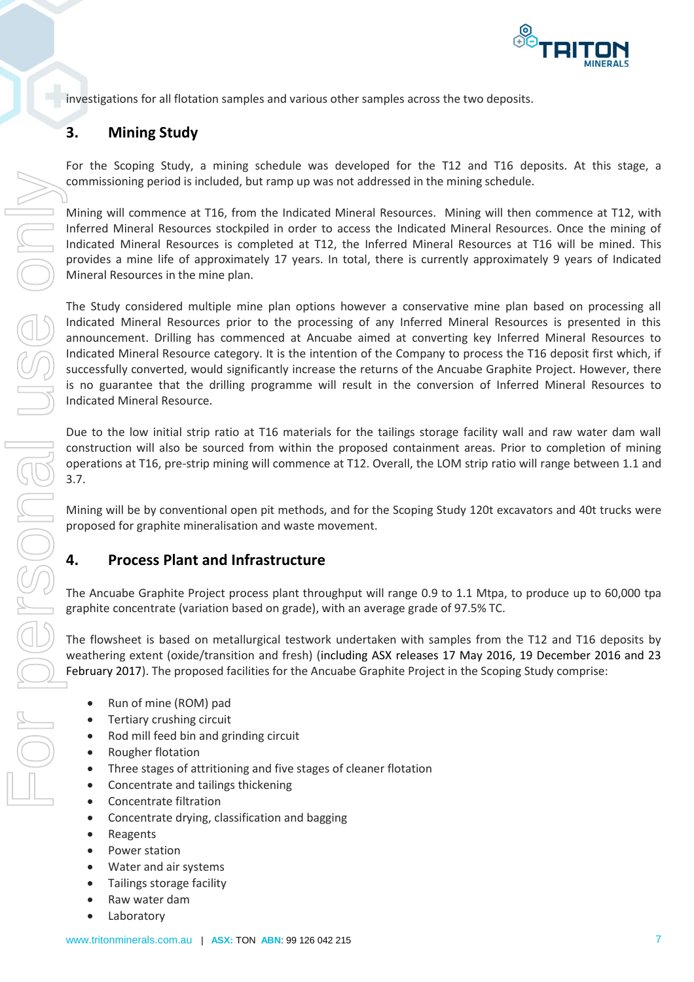

investigations for all flotation samples and various other samples across the two deposits.

### **3. Mining Study**

For the Scoping Study, a mining schedule was developed for the T12 and T16 deposits. At this stage, a commissioning period is included, but ramp up was not addressed in the mining schedule.

Mining will commence at T16, from the Indicated Mineral Resources. Mining will then commence at T12, with Inferred Mineral Resources stockpiled in order to access the Indicated Mineral Resources. Once the mining of Indicated Mineral Resources is completed at T12, the Inferred Mineral Resources at T16 will be mined. This provides a mine life of approximately 17 years. In total, there is currently approximately 9 years of Indicated Mineral Resources in the mine plan.

The Study considered multiple mine plan options however a conservative mine plan based on processing all Indicated Mineral Resources prior to the processing of any Inferred Mineral Resources is presented in this announcement. Drilling has commenced at Ancuabe aimed at converting key Inferred Mineral Resources to Indicated Mineral Resource category. It is the intention of the Company to process the T16 deposit first which, if successfully converted, would significantly increase the returns of the Ancuabe Graphite Project. However, there is no guarantee that the drilling programme will result in the conversion of Inferred Mineral Resources to Indicated Mineral Resource.

Due to the low initial strip ratio at T16 materials for the tailings storage facility wall and raw water dam wall construction will also be sourced from within the proposed containment areas. Prior to completion of mining operations at T16, pre-strip mining will commence at T12. Overall, the LOM strip ratio will range between 1.1 and 3.7.

Mining will be by conventional open pit methods, and for the Scoping Study 120t excavators and 40t trucks were proposed for graphite mineralisation and waste movement.

### **4. Process Plant and Infrastructure**

The Ancuabe Graphite Project process plant throughput will range 0.9 to 1.1 Mtpa, to produce up to 60,000 tpa graphite concentrate (variation based on grade), with an average grade of 97.5% TC.

The flowsheet is based on metallurgical testwork undertaken with samples from the T12 and T16 deposits by weathering extent (oxide/transition and fresh) (including ASX releases 17 May 2016, 19 December 2016 and 23 February 2017). The proposed facilities for the Ancuabe Graphite Project in the Scoping Study comprise:

- Run of mine (ROM) pad
- Tertiary crushing circuit
- Rod mill feed bin and grinding circuit
- Rougher flotation
- Three stages of attritioning and five stages of cleaner flotation
- Concentrate and tailings thickening
- Concentrate filtration
- Concentrate drying, classification and bagging
- Reagents
- Power station
- Water and air systems
- Tailings storage facility
- Raw water dam
- Laboratory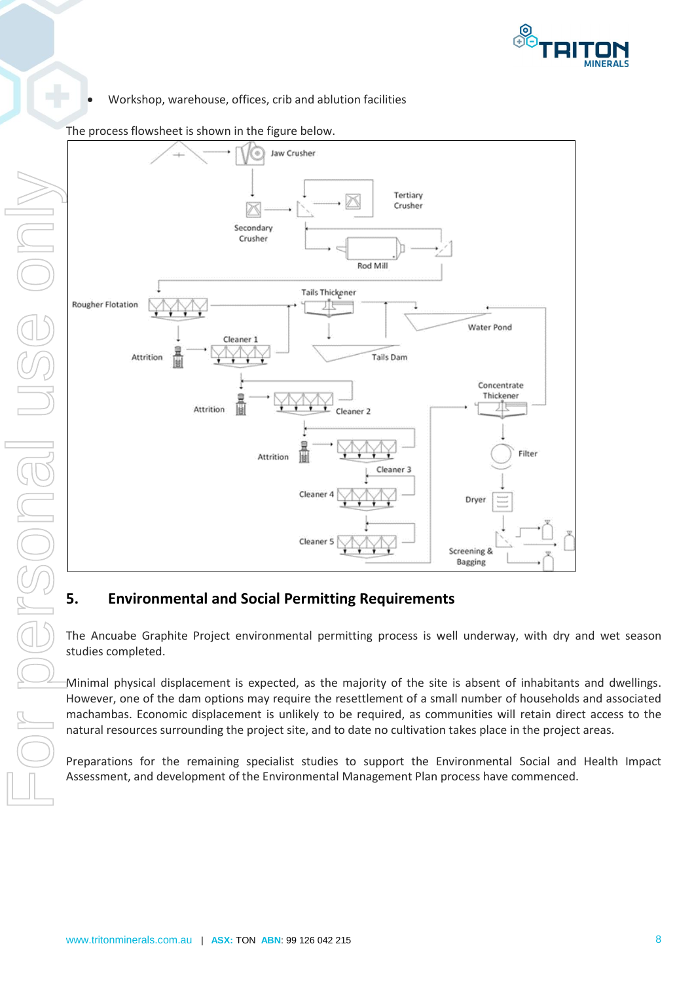

Workshop, warehouse, offices, crib and ablution facilities



#### The process flowsheet is shown in the figure below.

### **5. Environmental and Social Permitting Requirements**

The Ancuabe Graphite Project environmental permitting process is well underway, with dry and wet season studies completed.

Minimal physical displacement is expected, as the majority of the site is absent of inhabitants and dwellings. However, one of the dam options may require the resettlement of a small number of households and associated machambas. Economic displacement is unlikely to be required, as communities will retain direct access to the natural resources surrounding the project site, and to date no cultivation takes place in the project areas.

Preparations for the remaining specialist studies to support the Environmental Social and Health Impact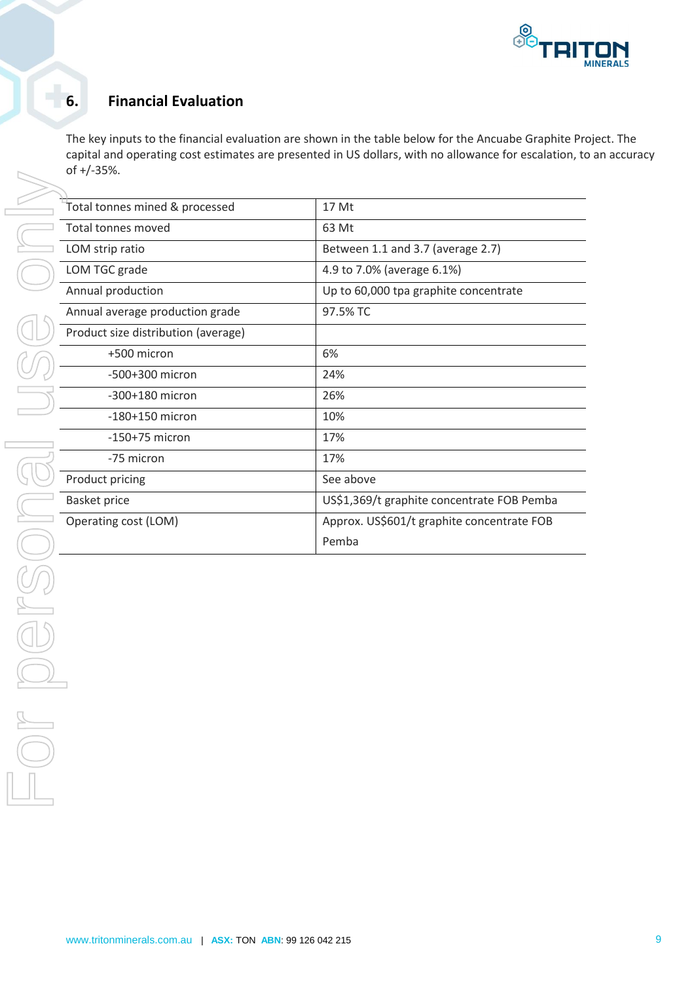

## **6. Financial Evaluation**

The key inputs to the financial evaluation are shown in the table below for the Ancuabe Graphite Project. The capital and operating cost estimates are presented in US dollars, with no allowance for escalation, to an accuracy of +/-35%.

| Total tonnes mined & processed      | 17 Mt                                      |
|-------------------------------------|--------------------------------------------|
| Total tonnes moved                  | 63 Mt                                      |
| LOM strip ratio                     | Between 1.1 and 3.7 (average 2.7)          |
| LOM TGC grade                       | 4.9 to 7.0% (average 6.1%)                 |
| Annual production                   | Up to 60,000 tpa graphite concentrate      |
| Annual average production grade     | 97.5% TC                                   |
| Product size distribution (average) |                                            |
| +500 micron                         | 6%                                         |
| -500+300 micron                     | 24%                                        |
| -300+180 micron                     | 26%                                        |
| $-180+150$ micron                   | 10%                                        |
| $-150+75$ micron                    | 17%                                        |
| -75 micron                          | 17%                                        |
| Product pricing                     | See above                                  |
| <b>Basket price</b>                 | US\$1,369/t graphite concentrate FOB Pemba |
| Operating cost (LOM)                | Approx. US\$601/t graphite concentrate FOB |
|                                     | Pemba                                      |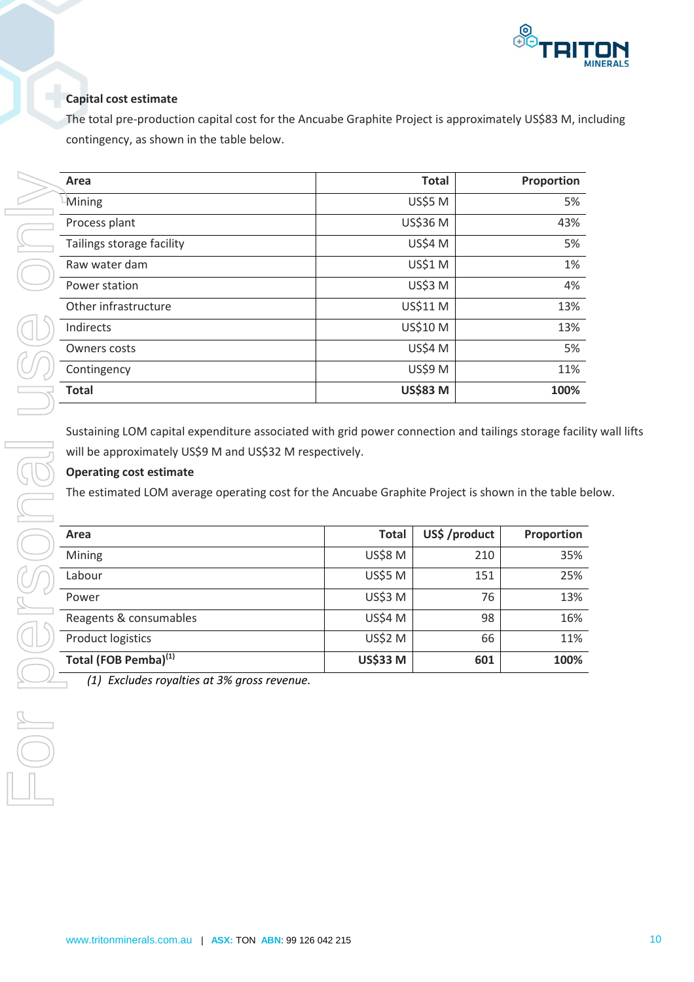

### **Capital cost estimate**

The total pre-production capital cost for the Ancuabe Graphite Project is approximately US\$83 M, including contingency, as shown in the table below.

| Area                      | <b>Total</b>    | Proportion |
|---------------------------|-----------------|------------|
| $-Mining$                 | <b>US\$5 M</b>  | 5%         |
| Process plant             | US\$36 M        | 43%        |
| Tailings storage facility | <b>US\$4 M</b>  | 5%         |
| Raw water dam             | <b>US\$1 M</b>  | 1%         |
| Power station             | <b>US\$3 M</b>  | 4%         |
| Other infrastructure      | US\$11 M        | 13%        |
| Indirects                 | <b>US\$10 M</b> | 13%        |
| <b>Owners costs</b>       | <b>US\$4 M</b>  | 5%         |
| Contingency               | <b>US\$9 M</b>  | 11%        |
| <b>Total</b>              | <b>US\$83 M</b> | 100%       |

Sustaining LOM capital expenditure associated with grid power connection and tailings storage facility wall lifts will be approximately US\$9 M and US\$32 M respectively.

### **Operating cost estimate**

The estimated LOM average operating cost for the Ancuabe Graphite Project is shown in the table below.

| Area                             | <b>Total</b>    | US\$ /product | Proportion |
|----------------------------------|-----------------|---------------|------------|
| Mining                           | <b>US\$8 M</b>  | 210           | 35%        |
| Labour                           | <b>US\$5 M</b>  | 151           | 25%        |
| Power                            | <b>US\$3 M</b>  | 76            | 13%        |
| Reagents & consumables           | <b>US\$4 M</b>  | 98            | 16%        |
| <b>Product logistics</b>         | <b>US\$2 M</b>  | 66            | 11%        |
| Total (FOB Pemba) <sup>(1)</sup> | <b>US\$33 M</b> | 601           | 100%       |

*(1) Excludes royalties at 3% gross revenue.*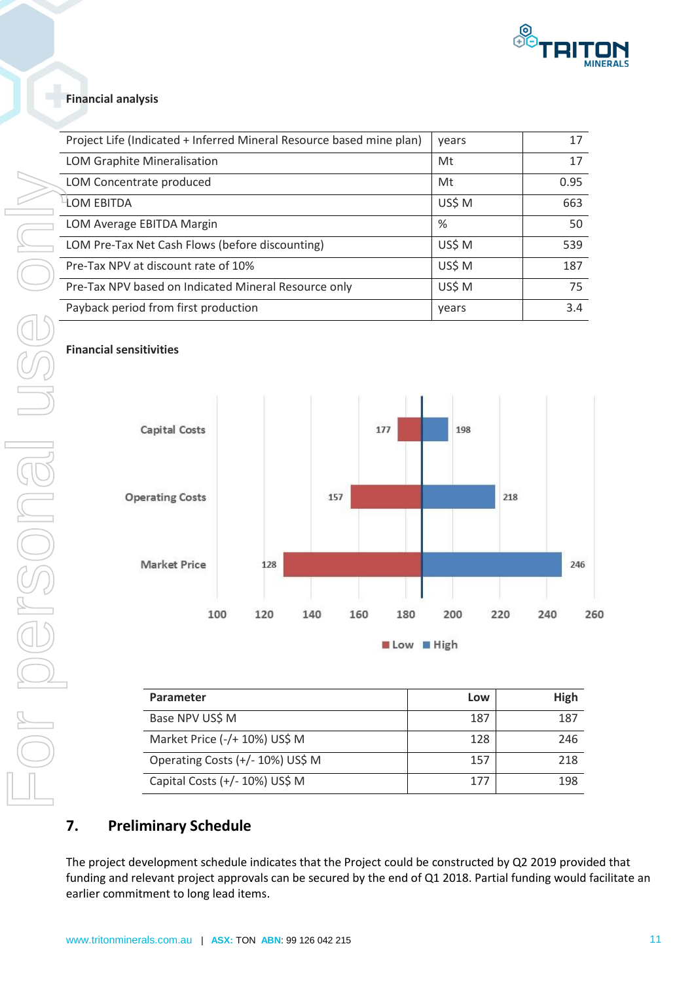

#### **Financial analysis**

| Project Life (Indicated + Inferred Mineral Resource based mine plan) | vears  | 17   |
|----------------------------------------------------------------------|--------|------|
| LOM Graphite Mineralisation                                          | Mt     | 17   |
| LOM Concentrate produced                                             | Mt     | 0.95 |
| <b>LOM EBITDA</b>                                                    | US\$ M | 663  |
| LOM Average EBITDA Margin                                            | %      | 50   |
| LOM Pre-Tax Net Cash Flows (before discounting)                      | US\$ M | 539  |
| Pre-Tax NPV at discount rate of 10%                                  | US\$ M | 187  |
| Pre-Tax NPV based on Indicated Mineral Resource only                 | US\$ M | 75   |
| Payback period from first production                                 | years  | 3.4  |

#### **Financial sensitivities**



| Parameter                        | Low | High |
|----------------------------------|-----|------|
| Base NPV US\$ M                  | 187 | 187  |
| Market Price (-/+ 10%) US\$ M    | 128 | 246  |
| Operating Costs (+/- 10%) US\$ M | 157 | 218  |
| Capital Costs (+/- 10%) US\$ M   | 177 | 198  |

### **7. Preliminary Schedule**

The project development schedule indicates that the Project could be constructed by Q2 2019 provided that funding and relevant project approvals can be secured by the end of Q1 2018. Partial funding would facilitate an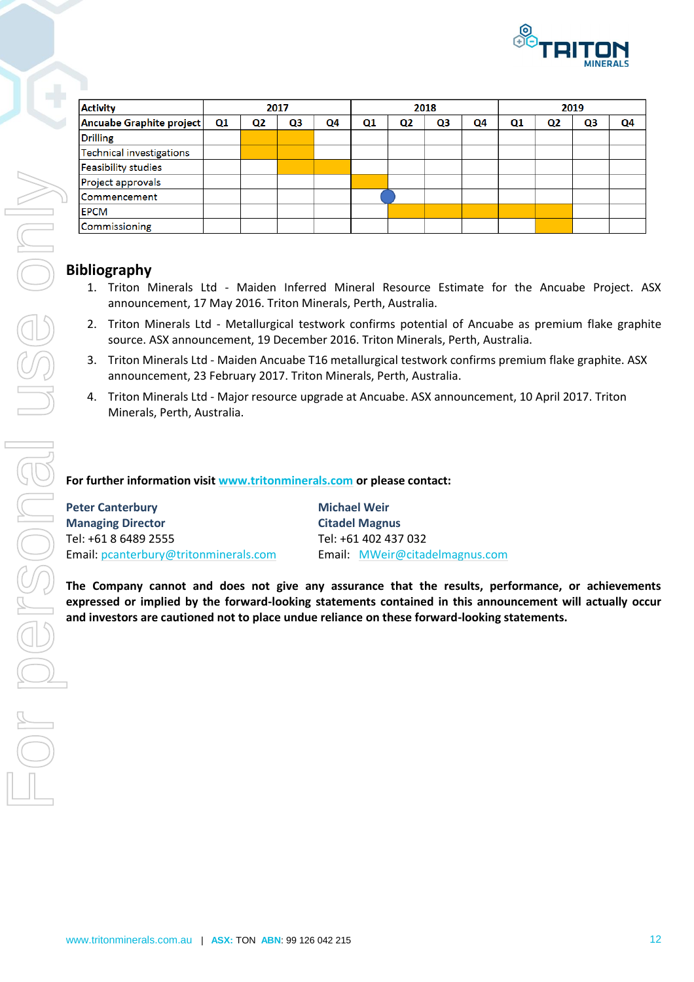

| <b>Activity</b>            |    |                | 2017 |    |    |                | 2018 |    |                |                | 2019 |    |
|----------------------------|----|----------------|------|----|----|----------------|------|----|----------------|----------------|------|----|
| Ancuabe Graphite project   | Q1 | Q <sub>2</sub> | Q3   | Q4 | Q1 | Q <sub>2</sub> | Q3   | Q4 | Q <sub>1</sub> | Q <sub>2</sub> | Q3   | Q4 |
| <b>Drilling</b>            |    |                |      |    |    |                |      |    |                |                |      |    |
| Technical investigations   |    |                |      |    |    |                |      |    |                |                |      |    |
| <b>Feasibility studies</b> |    |                |      |    |    |                |      |    |                |                |      |    |
| Project approvals          |    |                |      |    |    |                |      |    |                |                |      |    |
| Commencement               |    |                |      |    |    |                |      |    |                |                |      |    |
| <b>EPCM</b>                |    |                |      |    |    |                |      |    |                |                |      |    |
| Commissioning              |    |                |      |    |    |                |      |    |                |                |      |    |

### **Bibliography**

- 1. Triton Minerals Ltd Maiden Inferred Mineral Resource Estimate for the Ancuabe Project. ASX announcement, 17 May 2016. Triton Minerals, Perth, Australia.
- 2. Triton Minerals Ltd Metallurgical testwork confirms potential of Ancuabe as premium flake graphite source. ASX announcement, 19 December 2016. Triton Minerals, Perth, Australia.
- 3. Triton Minerals Ltd Maiden Ancuabe T16 metallurgical testwork confirms premium flake graphite. ASX announcement, 23 February 2017. Triton Minerals, Perth, Australia.
- 4. Triton Minerals Ltd Major resource upgrade at Ancuabe. ASX announcement, 10 April 2017. Triton Minerals, Perth, Australia.

#### **For further information visit [www.tritonminerals.com](http://www.tritonminerals.com/) or please contact:**

| <b>Peter Canterbury</b>               | <b>Michael Weir</b>            |
|---------------------------------------|--------------------------------|
| <b>Managing Director</b>              | <b>Citadel Magnus</b>          |
| Tel: +61 8 6489 2555                  | Tel: +61 402 437 032           |
| Email: pcanterbury@tritonminerals.com | Email: MWeir@citadelmagnus.com |

**The Company cannot and does not give any assurance that the results, performance, or achievements expressed or implied by the forward-looking statements contained in this announcement will actually occur**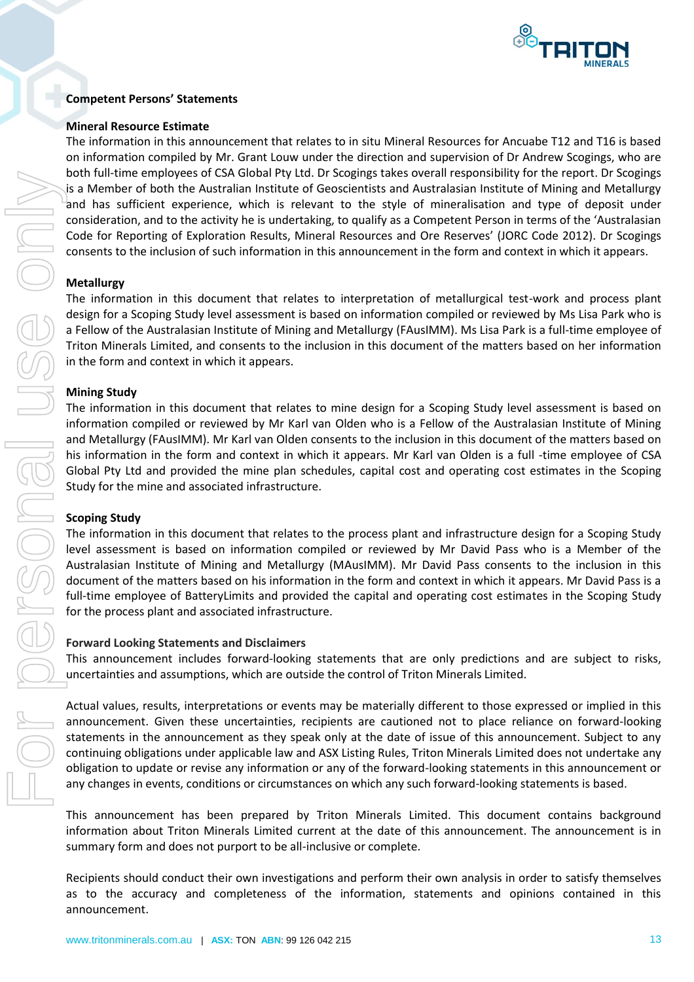

#### **Competent Persons' Statements**

#### **Mineral Resource Estimate**

The information in this announcement that relates to in situ Mineral Resources for Ancuabe T12 and T16 is based on information compiled by Mr. Grant Louw under the direction and supervision of Dr Andrew Scogings, who are both full-time employees of CSA Global Pty Ltd. Dr Scogings takes overall responsibility for the report. Dr Scogings is a Member of both the Australian Institute of Geoscientists and Australasian Institute of Mining and Metallurgy and has sufficient experience, which is relevant to the style of mineralisation and type of deposit under consideration, and to the activity he is undertaking, to qualify as a Competent Person in terms of the 'Australasian Code for Reporting of Exploration Results, Mineral Resources and Ore Reserves' (JORC Code 2012). Dr Scogings consents to the inclusion of such information in this announcement in the form and context in which it appears.

#### **Metallurgy**

The information in this document that relates to interpretation of metallurgical test-work and process plant design for a Scoping Study level assessment is based on information compiled or reviewed by Ms Lisa Park who is a Fellow of the Australasian Institute of Mining and Metallurgy (FAusIMM). Ms Lisa Park is a full-time employee of Triton Minerals Limited, and consents to the inclusion in this document of the matters based on her information in the form and context in which it appears.

#### **Mining Study**

The information in this document that relates to mine design for a Scoping Study level assessment is based on information compiled or reviewed by Mr Karl van Olden who is a Fellow of the Australasian Institute of Mining and Metallurgy (FAusIMM). Mr Karl van Olden consents to the inclusion in this document of the matters based on his information in the form and context in which it appears. Mr Karl van Olden is a full -time employee of CSA Global Pty Ltd and provided the mine plan schedules, capital cost and operating cost estimates in the Scoping Study for the mine and associated infrastructure.

#### **Scoping Study**

The information in this document that relates to the process plant and infrastructure design for a Scoping Study level assessment is based on information compiled or reviewed by Mr David Pass who is a Member of the Australasian Institute of Mining and Metallurgy (MAusIMM). Mr David Pass consents to the inclusion in this document of the matters based on his information in the form and context in which it appears. Mr David Pass is a full-time employee of BatteryLimits and provided the capital and operating cost estimates in the Scoping Study for the process plant and associated infrastructure.

#### **Forward Looking Statements and Disclaimers**

This announcement includes forward-looking statements that are only predictions and are subject to risks, uncertainties and assumptions, which are outside the control of Triton Minerals Limited.

Actual values, results, interpretations or events may be materially different to those expressed or implied in this announcement. Given these uncertainties, recipients are cautioned not to place reliance on forward-looking statements in the announcement as they speak only at the date of issue of this announcement. Subject to any continuing obligations under applicable law and ASX Listing Rules, Triton Minerals Limited does not undertake any obligation to update or revise any information or any of the forward-looking statements in this announcement or any changes in events, conditions or circumstances on which any such forward-looking statements is based.

This announcement has been prepared by Triton Minerals Limited. This document contains background information about Triton Minerals Limited current at the date of this announcement. The announcement is in summary form and does not purport to be all-inclusive or complete.

Recipients should conduct their own investigations and perform their own analysis in order to satisfy themselves as to the accuracy and completeness of the information, statements and opinions contained in this announcement.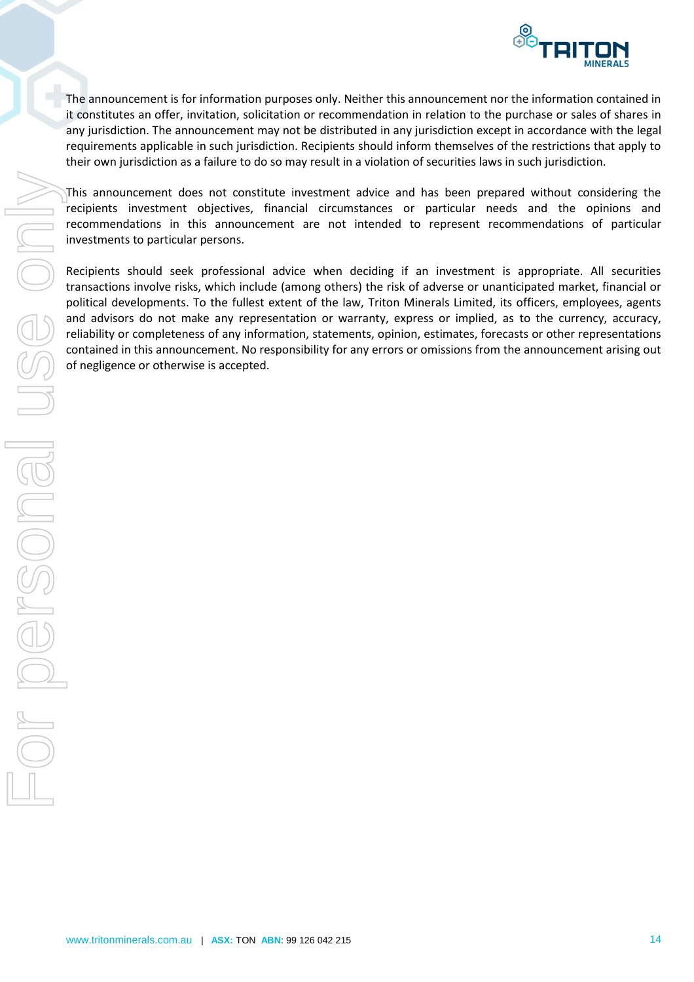

The announcement is for information purposes only. Neither this announcement nor the information contained in it constitutes an offer, invitation, solicitation or recommendation in relation to the purchase or sales of shares in any jurisdiction. The announcement may not be distributed in any jurisdiction except in accordance with the legal requirements applicable in such jurisdiction. Recipients should inform themselves of the restrictions that apply to their own jurisdiction as a failure to do so may result in a violation of securities laws in such jurisdiction.

This announcement does not constitute investment advice and has been prepared without considering the recipients investment objectives, financial circumstances or particular needs and the opinions and recommendations in this announcement are not intended to represent recommendations of particular investments to particular persons.

Recipients should seek professional advice when deciding if an investment is appropriate. All securities transactions involve risks, which include (among others) the risk of adverse or unanticipated market, financial or political developments. To the fullest extent of the law, Triton Minerals Limited, its officers, employees, agents and advisors do not make any representation or warranty, express or implied, as to the currency, accuracy, reliability or completeness of any information, statements, opinion, estimates, forecasts or other representations contained in this announcement. No responsibility for any errors or omissions from the announcement arising out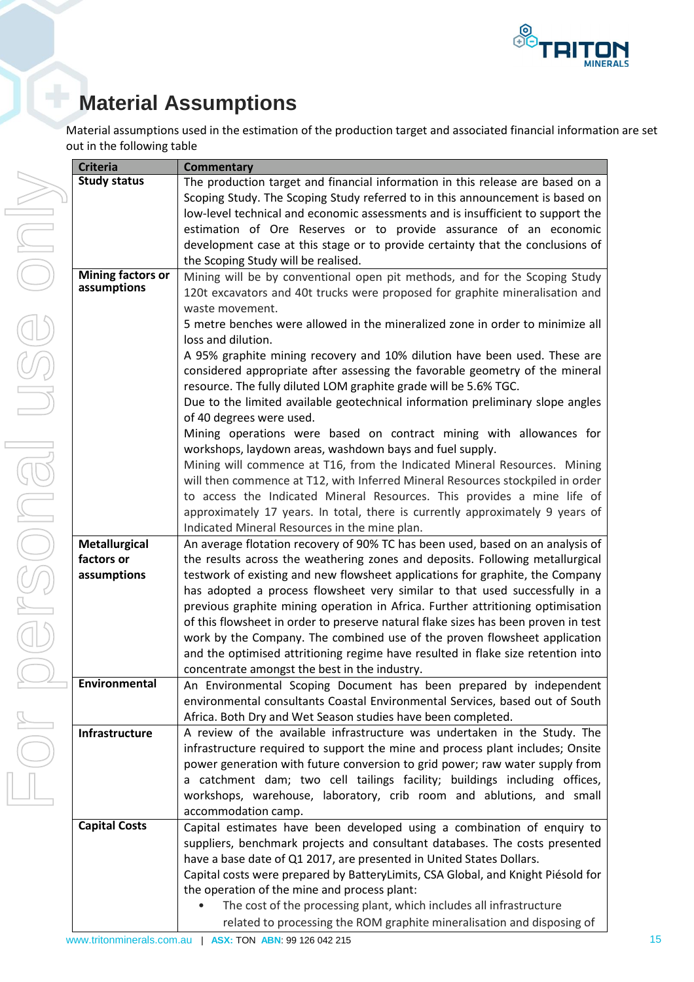

# **Material Assumptions**

Material assumptions used in the estimation of the production target and associated financial information are set out in the following table

| <b>Criteria</b>          | <b>Commentary</b>                                                                                                                                                                                                             |
|--------------------------|-------------------------------------------------------------------------------------------------------------------------------------------------------------------------------------------------------------------------------|
| <b>Study status</b>      | The production target and financial information in this release are based on a                                                                                                                                                |
|                          | Scoping Study. The Scoping Study referred to in this announcement is based on                                                                                                                                                 |
|                          | low-level technical and economic assessments and is insufficient to support the                                                                                                                                               |
|                          | estimation of Ore Reserves or to provide assurance of an economic                                                                                                                                                             |
|                          | development case at this stage or to provide certainty that the conclusions of                                                                                                                                                |
|                          | the Scoping Study will be realised.                                                                                                                                                                                           |
| <b>Mining factors or</b> | Mining will be by conventional open pit methods, and for the Scoping Study                                                                                                                                                    |
| assumptions              | 120t excavators and 40t trucks were proposed for graphite mineralisation and<br>waste movement.                                                                                                                               |
|                          | 5 metre benches were allowed in the mineralized zone in order to minimize all<br>loss and dilution.                                                                                                                           |
|                          | A 95% graphite mining recovery and 10% dilution have been used. These are<br>considered appropriate after assessing the favorable geometry of the mineral<br>resource. The fully diluted LOM graphite grade will be 5.6% TGC. |
|                          | Due to the limited available geotechnical information preliminary slope angles<br>of 40 degrees were used.                                                                                                                    |
|                          | Mining operations were based on contract mining with allowances for<br>workshops, laydown areas, washdown bays and fuel supply.                                                                                               |
|                          | Mining will commence at T16, from the Indicated Mineral Resources. Mining                                                                                                                                                     |
|                          | will then commence at T12, with Inferred Mineral Resources stockpiled in order                                                                                                                                                |
|                          | to access the Indicated Mineral Resources. This provides a mine life of                                                                                                                                                       |
|                          | approximately 17 years. In total, there is currently approximately 9 years of                                                                                                                                                 |
|                          | Indicated Mineral Resources in the mine plan.                                                                                                                                                                                 |
| <b>Metallurgical</b>     | An average flotation recovery of 90% TC has been used, based on an analysis of                                                                                                                                                |
| factors or               | the results across the weathering zones and deposits. Following metallurgical                                                                                                                                                 |
| assumptions              | testwork of existing and new flowsheet applications for graphite, the Company                                                                                                                                                 |
|                          | has adopted a process flowsheet very similar to that used successfully in a                                                                                                                                                   |
|                          | previous graphite mining operation in Africa. Further attritioning optimisation                                                                                                                                               |
|                          | of this flowsheet in order to preserve natural flake sizes has been proven in test                                                                                                                                            |
|                          | work by the Company. The combined use of the proven flowsheet application                                                                                                                                                     |
|                          | and the optimised attritioning regime have resulted in flake size retention into                                                                                                                                              |
|                          | concentrate amongst the best in the industry.                                                                                                                                                                                 |
| Environmental            | An Environmental Scoping Document has been prepared by independent                                                                                                                                                            |
|                          | environmental consultants Coastal Environmental Services, based out of South                                                                                                                                                  |
|                          | Africa. Both Dry and Wet Season studies have been completed.                                                                                                                                                                  |
| Infrastructure           | A review of the available infrastructure was undertaken in the Study. The<br>infrastructure required to support the mine and process plant includes; Onsite                                                                   |
|                          | power generation with future conversion to grid power; raw water supply from                                                                                                                                                  |
|                          | a catchment dam; two cell tailings facility; buildings including offices,                                                                                                                                                     |
|                          | workshops, warehouse, laboratory, crib room and ablutions, and small                                                                                                                                                          |
|                          | accommodation camp.                                                                                                                                                                                                           |
| <b>Capital Costs</b>     | Capital estimates have been developed using a combination of enquiry to                                                                                                                                                       |
|                          | suppliers, benchmark projects and consultant databases. The costs presented                                                                                                                                                   |
|                          | have a base date of Q1 2017, are presented in United States Dollars.                                                                                                                                                          |
|                          | Capital costs were prepared by BatteryLimits, CSA Global, and Knight Piésold for                                                                                                                                              |
|                          | the operation of the mine and process plant:                                                                                                                                                                                  |
|                          | The cost of the processing plant, which includes all infrastructure<br>$\bullet$                                                                                                                                              |
|                          | related to processing the ROM graphite mineralisation and disposing of                                                                                                                                                        |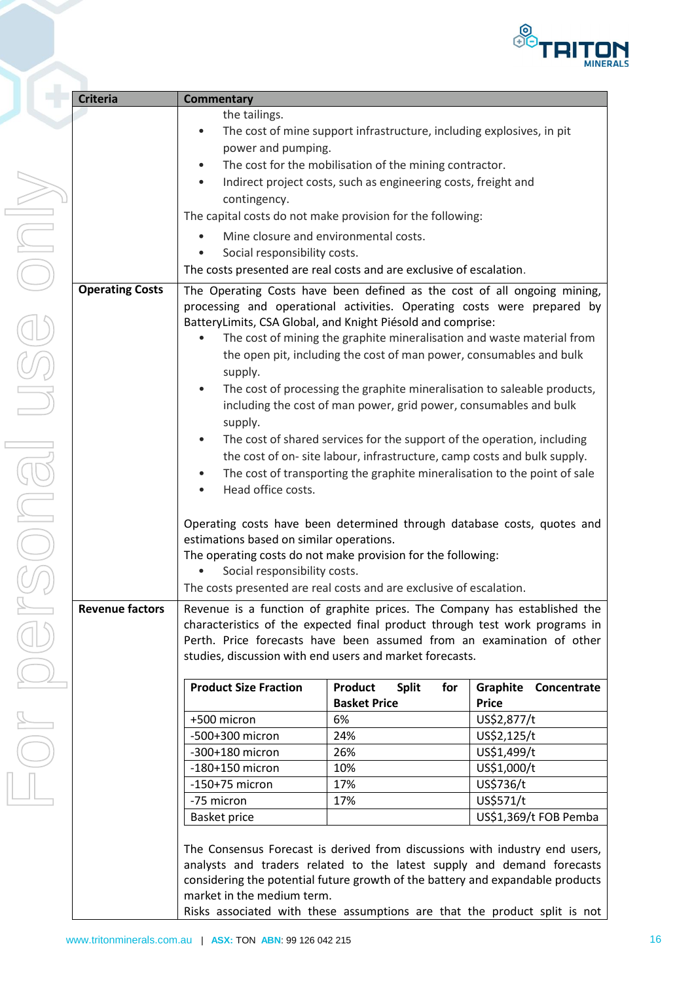

| <b>Criteria</b>        | <b>Commentary</b>                                                                                                                                                                                                                                                                                                                                                                                                                                                                                                                                                                                                                                                                                                                                                                                                                                                                                                                                                                                                                                     |                                                                                                                                                                                                                                                                                                                                                                                                   |                                                                                                                                                        |  |  |
|------------------------|-------------------------------------------------------------------------------------------------------------------------------------------------------------------------------------------------------------------------------------------------------------------------------------------------------------------------------------------------------------------------------------------------------------------------------------------------------------------------------------------------------------------------------------------------------------------------------------------------------------------------------------------------------------------------------------------------------------------------------------------------------------------------------------------------------------------------------------------------------------------------------------------------------------------------------------------------------------------------------------------------------------------------------------------------------|---------------------------------------------------------------------------------------------------------------------------------------------------------------------------------------------------------------------------------------------------------------------------------------------------------------------------------------------------------------------------------------------------|--------------------------------------------------------------------------------------------------------------------------------------------------------|--|--|
|                        | the tailings.<br>The cost of mine support infrastructure, including explosives, in pit<br>$\bullet$<br>power and pumping.<br>The cost for the mobilisation of the mining contractor.<br>٠<br>Indirect project costs, such as engineering costs, freight and<br>$\bullet$<br>contingency.<br>The capital costs do not make provision for the following:<br>Mine closure and environmental costs.<br>Social responsibility costs.<br>$\bullet$<br>The costs presented are real costs and are exclusive of escalation.                                                                                                                                                                                                                                                                                                                                                                                                                                                                                                                                   |                                                                                                                                                                                                                                                                                                                                                                                                   |                                                                                                                                                        |  |  |
| <b>Operating Costs</b> | The Operating Costs have been defined as the cost of all ongoing mining,<br>processing and operational activities. Operating costs were prepared by<br>BatteryLimits, CSA Global, and Knight Piésold and comprise:<br>The cost of mining the graphite mineralisation and waste material from<br>the open pit, including the cost of man power, consumables and bulk<br>supply.<br>The cost of processing the graphite mineralisation to saleable products,<br>including the cost of man power, grid power, consumables and bulk<br>supply.<br>The cost of shared services for the support of the operation, including<br>$\bullet$<br>the cost of on- site labour, infrastructure, camp costs and bulk supply.<br>The cost of transporting the graphite mineralisation to the point of sale<br>$\bullet$<br>Head office costs.<br>Operating costs have been determined through database costs, quotes and<br>estimations based on similar operations.<br>The operating costs do not make provision for the following:<br>Social responsibility costs. |                                                                                                                                                                                                                                                                                                                                                                                                   |                                                                                                                                                        |  |  |
| <b>Revenue factors</b> | The costs presented are real costs and are exclusive of escalation.<br>characteristics of the expected final product through test work programs in<br><b>Product Size Fraction</b><br>+500 micron<br>-500+300 micron<br>-300+180 micron<br>$-180+150$ micron<br>$-150+75$ micron<br>-75 micron<br><b>Basket price</b><br>The Consensus Forecast is derived from discussions with industry end users,<br>considering the potential future growth of the battery and expandable products<br>market in the medium term.                                                                                                                                                                                                                                                                                                                                                                                                                                                                                                                                  | Revenue is a function of graphite prices. The Company has established the<br>Perth. Price forecasts have been assumed from an examination of other<br>studies, discussion with end users and market forecasts.<br><b>Product</b><br><b>Split</b><br>for<br><b>Basket Price</b><br>6%<br>24%<br>26%<br>10%<br>17%<br>17%<br>analysts and traders related to the latest supply and demand forecasts | Graphite<br>Concentrate<br><b>Price</b><br>US\$2,877/t<br>US\$2,125/t<br>US\$1,499/t<br>US\$1,000/t<br>US\$736/t<br>US\$571/t<br>US\$1,369/t FOB Pemba |  |  |

Risks associated with these assumptions are that the product split is not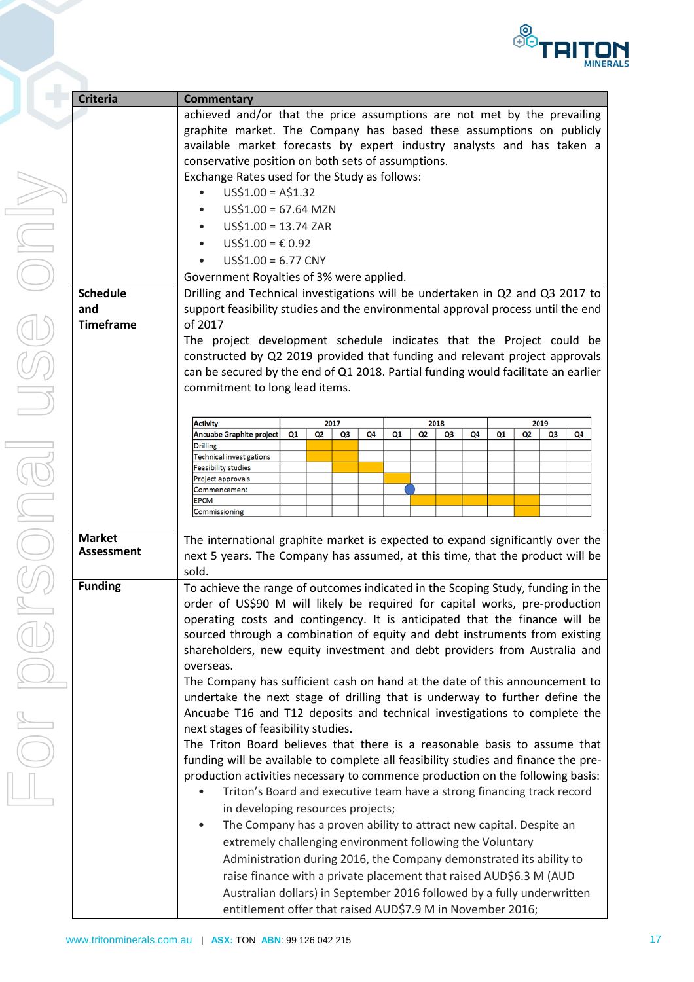

| <b>Criteria</b>   | <b>Commentary</b>                                                                                                                                               |      |    |    |    |      |    |    |    |      |    |    |    |
|-------------------|-----------------------------------------------------------------------------------------------------------------------------------------------------------------|------|----|----|----|------|----|----|----|------|----|----|----|
|                   | achieved and/or that the price assumptions are not met by the prevailing                                                                                        |      |    |    |    |      |    |    |    |      |    |    |    |
|                   | graphite market. The Company has based these assumptions on publicly                                                                                            |      |    |    |    |      |    |    |    |      |    |    |    |
|                   | available market forecasts by expert industry analysts and has taken a                                                                                          |      |    |    |    |      |    |    |    |      |    |    |    |
|                   | conservative position on both sets of assumptions.                                                                                                              |      |    |    |    |      |    |    |    |      |    |    |    |
|                   | Exchange Rates used for the Study as follows:                                                                                                                   |      |    |    |    |      |    |    |    |      |    |    |    |
|                   | $US$1.00 = A$1.32$                                                                                                                                              |      |    |    |    |      |    |    |    |      |    |    |    |
|                   | $US$1.00 = 67.64 MZN$                                                                                                                                           |      |    |    |    |      |    |    |    |      |    |    |    |
|                   | $US$1.00 = 13.74 ZAR$                                                                                                                                           |      |    |    |    |      |    |    |    |      |    |    |    |
|                   | US\$1.00 = € 0.92                                                                                                                                               |      |    |    |    |      |    |    |    |      |    |    |    |
|                   | $US$1.00 = 6.77$ CNY                                                                                                                                            |      |    |    |    |      |    |    |    |      |    |    |    |
|                   | Government Royalties of 3% were applied.                                                                                                                        |      |    |    |    |      |    |    |    |      |    |    |    |
| <b>Schedule</b>   | Drilling and Technical investigations will be undertaken in Q2 and Q3 2017 to                                                                                   |      |    |    |    |      |    |    |    |      |    |    |    |
| and               | support feasibility studies and the environmental approval process until the end                                                                                |      |    |    |    |      |    |    |    |      |    |    |    |
| <b>Timeframe</b>  | of 2017                                                                                                                                                         |      |    |    |    |      |    |    |    |      |    |    |    |
|                   | The project development schedule indicates that the Project could be                                                                                            |      |    |    |    |      |    |    |    |      |    |    |    |
|                   | constructed by Q2 2019 provided that funding and relevant project approvals                                                                                     |      |    |    |    |      |    |    |    |      |    |    |    |
|                   | can be secured by the end of Q1 2018. Partial funding would facilitate an earlier                                                                               |      |    |    |    |      |    |    |    |      |    |    |    |
|                   | commitment to long lead items.                                                                                                                                  |      |    |    |    |      |    |    |    |      |    |    |    |
|                   |                                                                                                                                                                 |      |    |    |    |      |    |    |    |      |    |    |    |
|                   | <b>Activity</b>                                                                                                                                                 | 2017 |    |    |    | 2018 |    |    |    | 2019 |    |    |    |
|                   | Ancuabe Graphite project<br><b>Drilling</b>                                                                                                                     | Q1   | Q2 | Q3 | Q4 | Q1   | Q2 | Q3 | Q4 | Q1   | Q2 | Q3 | Q4 |
|                   | <b>Technical investigations</b>                                                                                                                                 |      |    |    |    |      |    |    |    |      |    |    |    |
|                   | <b>Feasibility studies</b>                                                                                                                                      |      |    |    |    |      |    |    |    |      |    |    |    |
|                   | Project approvals<br>Commencement                                                                                                                               |      |    |    |    |      |    |    |    |      |    |    |    |
|                   | <b>EPCM</b>                                                                                                                                                     |      |    |    |    |      |    |    |    |      |    |    |    |
|                   | Commissioning                                                                                                                                                   |      |    |    |    |      |    |    |    |      |    |    |    |
| <b>Market</b>     |                                                                                                                                                                 |      |    |    |    |      |    |    |    |      |    |    |    |
| <b>Assessment</b> | The international graphite market is expected to expand significantly over the<br>next 5 years. The Company has assumed, at this time, that the product will be |      |    |    |    |      |    |    |    |      |    |    |    |
|                   | sold.                                                                                                                                                           |      |    |    |    |      |    |    |    |      |    |    |    |
| <b>Funding</b>    | To achieve the range of outcomes indicated in the Scoping Study, funding in the                                                                                 |      |    |    |    |      |    |    |    |      |    |    |    |
|                   | order of US\$90 M will likely be required for capital works, pre-production                                                                                     |      |    |    |    |      |    |    |    |      |    |    |    |
|                   | operating costs and contingency. It is anticipated that the finance will be                                                                                     |      |    |    |    |      |    |    |    |      |    |    |    |
|                   | sourced through a combination of equity and debt instruments from existing                                                                                      |      |    |    |    |      |    |    |    |      |    |    |    |
|                   |                                                                                                                                                                 |      |    |    |    |      |    |    |    |      |    |    |    |
|                   | shareholders, new equity investment and debt providers from Australia and<br>overseas.                                                                          |      |    |    |    |      |    |    |    |      |    |    |    |
|                   | The Company has sufficient cash on hand at the date of this announcement to                                                                                     |      |    |    |    |      |    |    |    |      |    |    |    |
|                   | undertake the next stage of drilling that is underway to further define the                                                                                     |      |    |    |    |      |    |    |    |      |    |    |    |
|                   | Ancuabe T16 and T12 deposits and technical investigations to complete the                                                                                       |      |    |    |    |      |    |    |    |      |    |    |    |
|                   | next stages of feasibility studies.                                                                                                                             |      |    |    |    |      |    |    |    |      |    |    |    |
|                   | The Triton Board believes that there is a reasonable basis to assume that                                                                                       |      |    |    |    |      |    |    |    |      |    |    |    |
|                   | funding will be available to complete all feasibility studies and finance the pre-                                                                              |      |    |    |    |      |    |    |    |      |    |    |    |
|                   | production activities necessary to commence production on the following basis:                                                                                  |      |    |    |    |      |    |    |    |      |    |    |    |
|                   | Triton's Board and executive team have a strong financing track record                                                                                          |      |    |    |    |      |    |    |    |      |    |    |    |
|                   | in developing resources projects;                                                                                                                               |      |    |    |    |      |    |    |    |      |    |    |    |
|                   | The Company has a proven ability to attract new capital. Despite an                                                                                             |      |    |    |    |      |    |    |    |      |    |    |    |
|                   |                                                                                                                                                                 |      |    |    |    |      |    |    |    |      |    |    |    |
|                   | extremely challenging environment following the Voluntary                                                                                                       |      |    |    |    |      |    |    |    |      |    |    |    |
|                   | Administration during 2016, the Company demonstrated its ability to<br>raise finance with a private placement that raised AUD\$6.3 M (AUD                       |      |    |    |    |      |    |    |    |      |    |    |    |
|                   |                                                                                                                                                                 |      |    |    |    |      |    |    |    |      |    |    |    |
|                   | Australian dollars) in September 2016 followed by a fully underwritten                                                                                          |      |    |    |    |      |    |    |    |      |    |    |    |
|                   | entitlement offer that raised AUD\$7.9 M in November 2016;                                                                                                      |      |    |    |    |      |    |    |    |      |    |    |    |